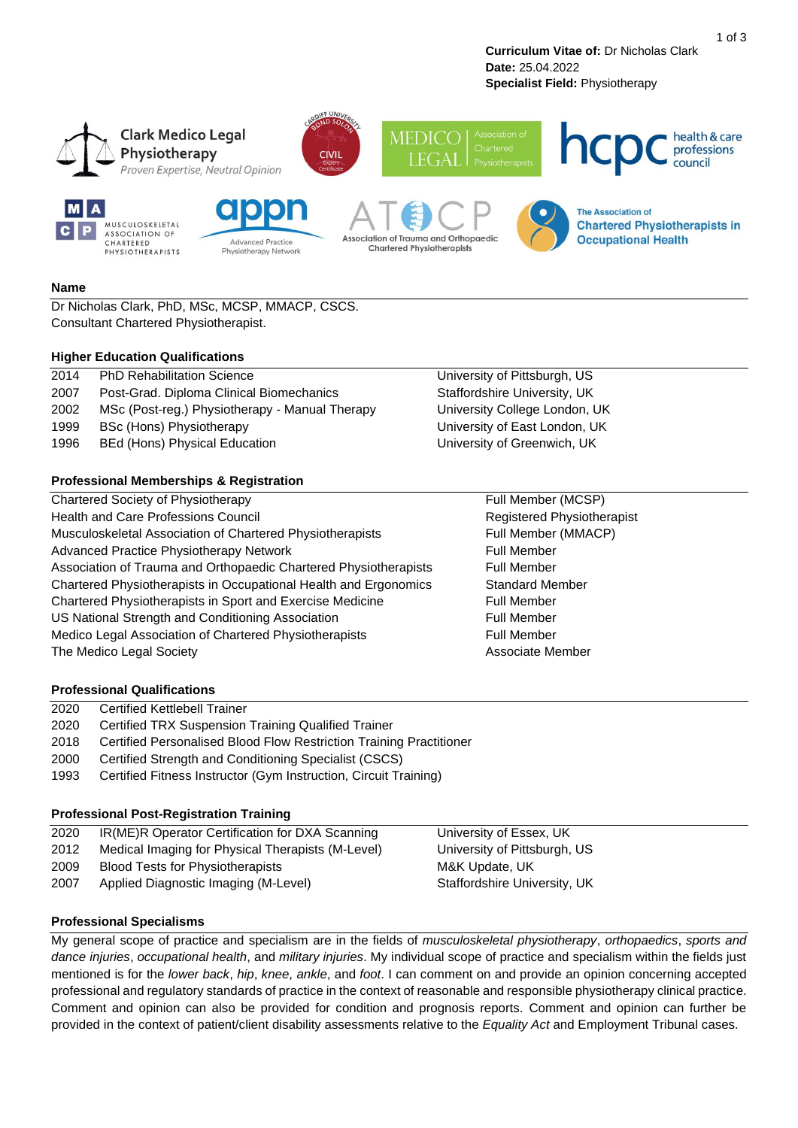**Curriculum Vitae of:** Dr Nicholas Clark **Date:** 25.04.2022 **Specialist Field:** Physiotherapy



### **Name**

Dr Nicholas Clark, PhD, MSc, MCSP, MMACP, CSCS. Consultant Chartered Physiotherapist.

#### **Higher Education Qualifications**

| 2014 | <b>PhD Rehabilitation Science</b>              |
|------|------------------------------------------------|
| 2007 | Post-Grad. Diploma Clinical Biomechanics       |
| 2002 | MSc (Post-reg.) Physiotherapy - Manual Therapy |
| 1999 | <b>BSc (Hons) Physiotherapy</b>                |
| 1996 | <b>BEd (Hons) Physical Education</b>           |
|      |                                                |
|      |                                                |

## **Professional Memberships & Registration**

Chartered Society of Physiotherapy Full Member (MCSP) Health and Care Professions Council **Realth and Care Professions Council** Registered Physiotherapist Musculoskeletal Association of Chartered Physiotherapists Full Member (MMACP) Advanced Practice Physiotherapy Network Full Member Association of Trauma and Orthopaedic Chartered Physiotherapists Full Member Chartered Physiotherapists in Occupational Health and Ergonomics Standard Member Chartered Physiotherapists in Sport and Exercise Medicine Full Member US National Strength and Conditioning Association Full Member Medico Legal Association of Chartered Physiotherapists Full Member The Medico Legal Society **Associate Member** Associate Member

University of Pittsburgh, US Staffordshire University, UK University College London, UK University of East London, UK University of Greenwich, UK

## **Professional Qualifications**

- 2020 Certified TRX Suspension Training Qualified Trainer
- 2018 Certified Personalised Blood Flow Restriction Training Practitioner
- 2000 Certified Strength and Conditioning Specialist (CSCS)
- 1993 Certified Fitness Instructor (Gym Instruction, Circuit Training)

### **Professional Post-Registration Training**

| 2020 | IR(ME)R Operator Certification for DXA Scanning   | University of Essex, UK      |
|------|---------------------------------------------------|------------------------------|
| 2012 | Medical Imaging for Physical Therapists (M-Level) | University of Pittsburgh, US |
| 2009 | Blood Tests for Physiotherapists                  | M&K Update, UK               |
| 2007 | Applied Diagnostic Imaging (M-Level)              | Staffordshire University, UK |

## **Professional Specialisms**

My general scope of practice and specialism are in the fields of *musculoskeletal physiotherapy*, *orthopaedics*, *sports and dance injuries*, *occupational health*, and *military injuries*. My individual scope of practice and specialism within the fields just mentioned is for the *lower back*, *hip*, *knee*, *ankle*, and *foot*. I can comment on and provide an opinion concerning accepted professional and regulatory standards of practice in the context of reasonable and responsible physiotherapy clinical practice. Comment and opinion can also be provided for condition and prognosis reports. Comment and opinion can further be provided in the context of patient/client disability assessments relative to the *Equality Act* and Employment Tribunal cases.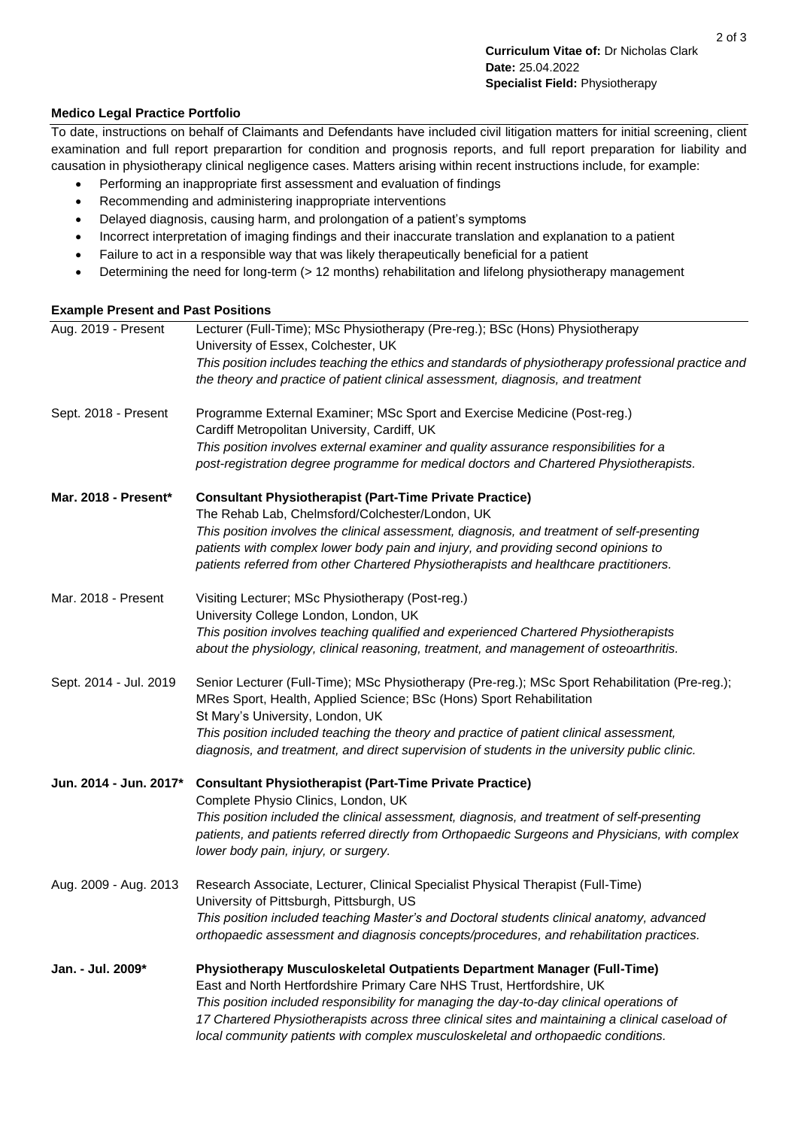## **Medico Legal Practice Portfolio**

To date, instructions on behalf of Claimants and Defendants have included civil litigation matters for initial screening, client examination and full report preparartion for condition and prognosis reports, and full report preparation for liability and causation in physiotherapy clinical negligence cases. Matters arising within recent instructions include, for example:

- Performing an inappropriate first assessment and evaluation of findings
- Recommending and administering inappropriate interventions
- Delayed diagnosis, causing harm, and prolongation of a patient's symptoms
- Incorrect interpretation of imaging findings and their inaccurate translation and explanation to a patient
- Failure to act in a responsible way that was likely therapeutically beneficial for a patient
- Determining the need for long-term (> 12 months) rehabilitation and lifelong physiotherapy management

# **Example Present and Past Positions**

| Aug. 2019 - Present    | Lecturer (Full-Time); MSc Physiotherapy (Pre-reg.); BSc (Hons) Physiotherapy<br>University of Essex, Colchester, UK<br>This position includes teaching the ethics and standards of physiotherapy professional practice and<br>the theory and practice of patient clinical assessment, diagnosis, and treatment |
|------------------------|----------------------------------------------------------------------------------------------------------------------------------------------------------------------------------------------------------------------------------------------------------------------------------------------------------------|
| Sept. 2018 - Present   | Programme External Examiner; MSc Sport and Exercise Medicine (Post-reg.)<br>Cardiff Metropolitan University, Cardiff, UK                                                                                                                                                                                       |
|                        | This position involves external examiner and quality assurance responsibilities for a<br>post-registration degree programme for medical doctors and Chartered Physiotherapists.                                                                                                                                |
| Mar. 2018 - Present*   | <b>Consultant Physiotherapist (Part-Time Private Practice)</b>                                                                                                                                                                                                                                                 |
|                        | The Rehab Lab, Chelmsford/Colchester/London, UK                                                                                                                                                                                                                                                                |
|                        | This position involves the clinical assessment, diagnosis, and treatment of self-presenting<br>patients with complex lower body pain and injury, and providing second opinions to                                                                                                                              |
|                        | patients referred from other Chartered Physiotherapists and healthcare practitioners.                                                                                                                                                                                                                          |
| Mar. 2018 - Present    | Visiting Lecturer; MSc Physiotherapy (Post-reg.)                                                                                                                                                                                                                                                               |
|                        | University College London, London, UK                                                                                                                                                                                                                                                                          |
|                        | This position involves teaching qualified and experienced Chartered Physiotherapists<br>about the physiology, clinical reasoning, treatment, and management of osteoarthritis.                                                                                                                                 |
| Sept. 2014 - Jul. 2019 | Senior Lecturer (Full-Time); MSc Physiotherapy (Pre-reg.); MSc Sport Rehabilitation (Pre-reg.);<br>MRes Sport, Health, Applied Science; BSc (Hons) Sport Rehabilitation<br>St Mary's University, London, UK                                                                                                    |
|                        | This position included teaching the theory and practice of patient clinical assessment,<br>diagnosis, and treatment, and direct supervision of students in the university public clinic.                                                                                                                       |
| Jun. 2014 - Jun. 2017* | <b>Consultant Physiotherapist (Part-Time Private Practice)</b><br>Complete Physio Clinics, London, UK                                                                                                                                                                                                          |
|                        | This position included the clinical assessment, diagnosis, and treatment of self-presenting                                                                                                                                                                                                                    |
|                        | patients, and patients referred directly from Orthopaedic Surgeons and Physicians, with complex<br>lower body pain, injury, or surgery.                                                                                                                                                                        |
| Aug. 2009 - Aug. 2013  | Research Associate, Lecturer, Clinical Specialist Physical Therapist (Full-Time)<br>University of Pittsburgh, Pittsburgh, US                                                                                                                                                                                   |
|                        | This position included teaching Master's and Doctoral students clinical anatomy, advanced                                                                                                                                                                                                                      |
|                        | orthopaedic assessment and diagnosis concepts/procedures, and rehabilitation practices.                                                                                                                                                                                                                        |
| Jan. - Jul. 2009*      | Physiotherapy Musculoskeletal Outpatients Department Manager (Full-Time)                                                                                                                                                                                                                                       |
|                        | East and North Hertfordshire Primary Care NHS Trust, Hertfordshire, UK                                                                                                                                                                                                                                         |
|                        | This position included responsibility for managing the day-to-day clinical operations of<br>17 Chartered Physiotherapists across three clinical sites and maintaining a clinical caseload of<br>local community patients with complex musculoskeletal and orthopaedic conditions.                              |